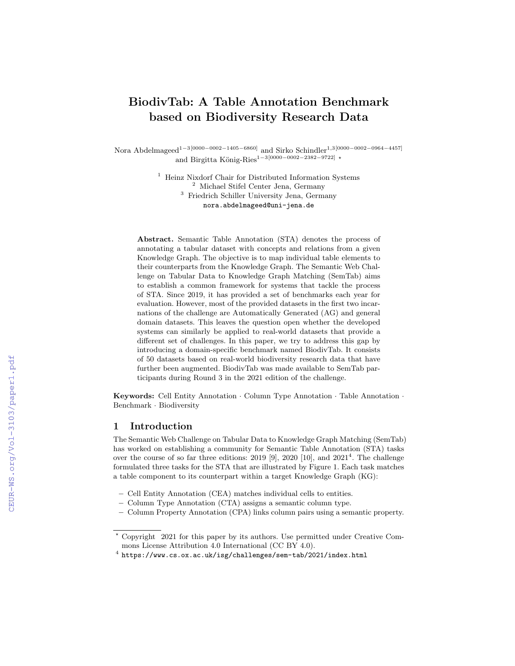# BiodivTab: A Table Annotation Benchmark based on Biodiversity Research Data

Nora Abdelmageed<sup>1-3[0000-0002-1405-6860]</sup> and Sirko Schindler<sup>1,3[0000-0002-0964-4457]</sup> and Birgitta König-Ries<sup>1−3</sup>[0000−0002−2382−9722] \*

> <sup>1</sup> Heinz Nixdorf Chair for Distributed Information Systems <sup>2</sup> Michael Stifel Center Jena, Germany <sup>3</sup> Friedrich Schiller University Jena, Germany nora.abdelmageed@uni-jena.de

Abstract. Semantic Table Annotation (STA) denotes the process of annotating a tabular dataset with concepts and relations from a given Knowledge Graph. The objective is to map individual table elements to their counterparts from the Knowledge Graph. The Semantic Web Challenge on Tabular Data to Knowledge Graph Matching (SemTab) aims to establish a common framework for systems that tackle the process of STA. Since 2019, it has provided a set of benchmarks each year for evaluation. However, most of the provided datasets in the first two incarnations of the challenge are Automatically Generated (AG) and general domain datasets. This leaves the question open whether the developed systems can similarly be applied to real-world datasets that provide a different set of challenges. In this paper, we try to address this gap by introducing a domain-specific benchmark named BiodivTab. It consists of 50 datasets based on real-world biodiversity research data that have further been augmented. BiodivTab was made available to SemTab participants during Round 3 in the 2021 edition of the challenge.

Keywords: Cell Entity Annotation · Column Type Annotation · Table Annotation · Benchmark · Biodiversity

# 1 Introduction

The Semantic Web Challenge on Tabular Data to Knowledge Graph Matching (SemTab) has worked on establishing a community for Semantic Table Annotation (STA) tasks over the course of so far three editions: 2019 [\[9\]](#page--1-0), 2020 [\[10\]](#page--1-1), and  $2021<sup>4</sup>$  $2021<sup>4</sup>$  $2021<sup>4</sup>$ . The challenge formulated three tasks for the STA that are illustrated by [Figure 1.](#page--1-2) Each task matches a table component to its counterpart within a target Knowledge Graph (KG):

- Cell Entity Annotation (CEA) matches individual cells to entities.
- Column Type Annotation (CTA) assigns a semantic column type.
- Column Property Annotation (CPA) links column pairs using a semantic property.

<sup>?</sup> Copyright 2021 for this paper by its authors. Use permitted under Creative Commons License Attribution 4.0 International (CC BY 4.0).

<span id="page-0-0"></span> $^4$  <https://www.cs.ox.ac.uk/isg/challenges/sem-tab/2021/index.html>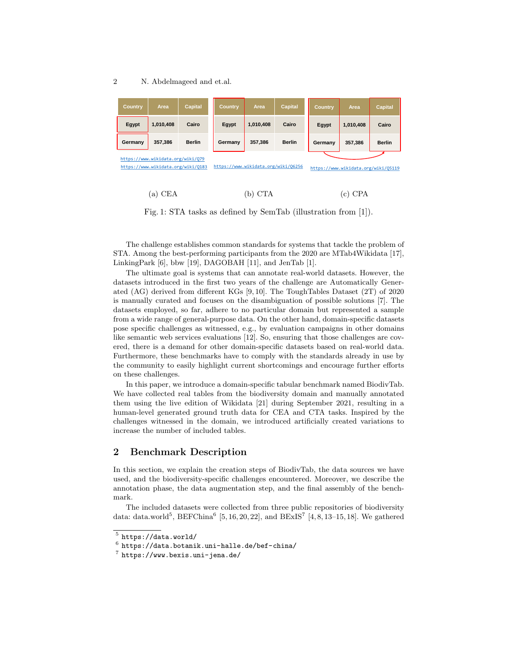#### 2 N. Abdelmageed and et.al.

| Country,                                                                                                       | Area      | <b>Capital</b> | <b>Country</b> | Area      | <b>Capital</b> | <b>Country</b>                      | Area      | <b>Capital</b> |
|----------------------------------------------------------------------------------------------------------------|-----------|----------------|----------------|-----------|----------------|-------------------------------------|-----------|----------------|
| Egypt                                                                                                          | 1,010,408 | Cairo          | Egypt          | 1,010,408 | Cairo          | Egypt                               | 1,010,408 | Cairo          |
| Germany                                                                                                        | 357,386   | <b>Berlin</b>  | Germany        | 357.386   | <b>Berlin</b>  | Germany                             | 357,386   | <b>Berlin</b>  |
| https://www.wikidata.org/wiki/079<br>https://www.wikidata.org/wiki/06256<br>https://www.wikidata.org/wiki/0183 |           |                |                |           |                | https://www.wikidata.org/wiki/05119 |           |                |

(a) CEA (b) CTA (c) CPA

Fig. 1: STA tasks as defined by SemTab (illustration from [\[1\]](#page-4-0)).

The challenge establishes common standards for systems that tackle the problem of STA. Among the best-performing participants from the 2020 are MTab4Wikidata [\[17\]](#page-5-0), LinkingPark [\[6\]](#page-4-1), bbw [\[19\]](#page-5-1), DAGOBAH [\[11\]](#page-4-2), and JenTab [\[1\]](#page-4-0).

The ultimate goal is systems that can annotate real-world datasets. However, the datasets introduced in the first two years of the challenge are Automatically Generated (AG) derived from different KGs [\[9,](#page-4-3) [10\]](#page-4-4). The ToughTables Dataset (2T) of 2020 is manually curated and focuses on the disambiguation of possible solutions [\[7\]](#page-4-5). The datasets employed, so far, adhere to no particular domain but represented a sample from a wide range of general-purpose data. On the other hand, domain-specific datasets pose specific challenges as witnessed, e.g., by evaluation campaigns in other domains like semantic web services evaluations [\[12\]](#page-5-2). So, ensuring that those challenges are covered, there is a demand for other domain-specific datasets based on real-world data. Furthermore, these benchmarks have to comply with the standards already in use by the community to easily highlight current shortcomings and encourage further efforts on these challenges.

In this paper, we introduce a domain-specific tabular benchmark named BiodivTab. We have collected real tables from the biodiversity domain and manually annotated them using the live edition of Wikidata [\[21\]](#page-5-3) during September 2021, resulting in a human-level generated ground truth data for CEA and CTA tasks. Inspired by the challenges witnessed in the domain, we introduced artificially created variations to increase the number of included tables.

## 2 Benchmark Description

In this section, we explain the creation steps of BiodivTab, the data sources we have used, and the biodiversity-specific challenges encountered. Moreover, we describe the annotation phase, the data augmentation step, and the final assembly of the benchmark.

The included datasets were collected from three public repositories of biodiversity data: data.world<sup>[5](#page-1-0)</sup>, BEFChina<sup>[6](#page-1-1)</sup> [\[5,](#page-4-6) [16,](#page-5-4) [20,](#page-5-5) [22\]](#page-5-6), and BExIS<sup>[7](#page-1-2)</sup> [\[4,](#page-4-7) [8,](#page-4-8) [13](#page-5-7)[–15,](#page-5-8) [18\]](#page-5-9). We gathered

<span id="page-1-0"></span> $^5$  <https://data.world/>

<span id="page-1-1"></span> $^6$  <https://data.botanik.uni-halle.de/bef-china/>

<span id="page-1-2"></span> $7$  <https://www.bexis.uni-jena.de/>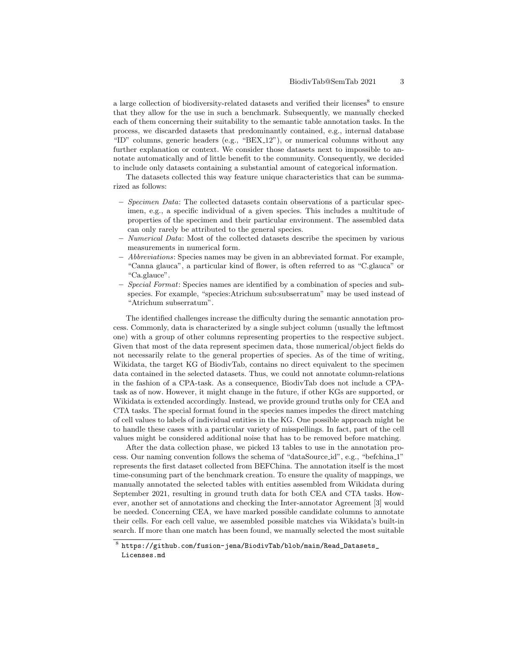a large collection of biodiversity-related datasets and verified their licenses<sup>[8](#page-2-0)</sup> to ensure that they allow for the use in such a benchmark. Subsequently, we manually checked each of them concerning their suitability to the semantic table annotation tasks. In the process, we discarded datasets that predominantly contained, e.g., internal database "ID" columns, generic headers (e.g., "BEX 12"), or numerical columns without any further explanation or context. We consider those datasets next to impossible to annotate automatically and of little benefit to the community. Consequently, we decided to include only datasets containing a substantial amount of categorical information.

The datasets collected this way feature unique characteristics that can be summarized as follows:

- Specimen Data: The collected datasets contain observations of a particular specimen, e.g., a specific individual of a given species. This includes a multitude of properties of the specimen and their particular environment. The assembled data can only rarely be attributed to the general species.
- Numerical Data: Most of the collected datasets describe the specimen by various measurements in numerical form.
- Abbreviations: Species names may be given in an abbreviated format. For example, "Canna glauca", a particular kind of flower, is often referred to as "C.glauca" or "Ca.glauce".
- Special Format: Species names are identified by a combination of species and subspecies. For example, "species:Atrichum sub:subserratum" may be used instead of "Atrichum subserratum".

The identified challenges increase the difficulty during the semantic annotation process. Commonly, data is characterized by a single subject column (usually the leftmost one) with a group of other columns representing properties to the respective subject. Given that most of the data represent specimen data, those numerical/object fields do not necessarily relate to the general properties of species. As of the time of writing, Wikidata, the target KG of BiodivTab, contains no direct equivalent to the specimen data contained in the selected datasets. Thus, we could not annotate column-relations in the fashion of a CPA-task. As a consequence, BiodivTab does not include a CPAtask as of now. However, it might change in the future, if other KGs are supported, or Wikidata is extended accordingly. Instead, we provide ground truths only for CEA and CTA tasks. The special format found in the species names impedes the direct matching of cell values to labels of individual entities in the KG. One possible approach might be to handle these cases with a particular variety of misspellings. In fact, part of the cell values might be considered additional noise that has to be removed before matching.

After the data collection phase, we picked 13 tables to use in the annotation process. Our naming convention follows the schema of "dataSource id", e.g., "befchina 1" represents the first dataset collected from BEFChina. The annotation itself is the most time-consuming part of the benchmark creation. To ensure the quality of mappings, we manually annotated the selected tables with entities assembled from Wikidata during September 2021, resulting in ground truth data for both CEA and CTA tasks. However, another set of annotations and checking the Inter-annotator Agreement [\[3\]](#page-4-9) would be needed. Concerning CEA, we have marked possible candidate columns to annotate their cells. For each cell value, we assembled possible matches via Wikidata's built-in search. If more than one match has been found, we manually selected the most suitable

<span id="page-2-0"></span> $^8$ [https://github.com/fusion-jena/BiodivTab/blob/main/Read\\_Datasets\\_](https://github.com/fusion-jena/BiodivTab/blob/main/Read_Datasets_Licenses.md) [Licenses.md](https://github.com/fusion-jena/BiodivTab/blob/main/Read_Datasets_Licenses.md)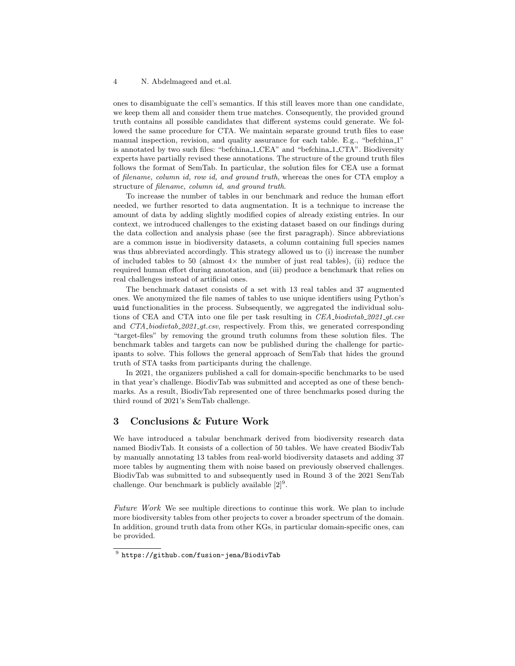#### 4 N. Abdelmageed and et.al.

ones to disambiguate the cell's semantics. If this still leaves more than one candidate, we keep them all and consider them true matches. Consequently, the provided ground truth contains all possible candidates that different systems could generate. We followed the same procedure for CTA. We maintain separate ground truth files to ease manual inspection, revision, and quality assurance for each table. E.g., "befchina 1" is annotated by two such files: "befchina 1 CEA" and "befchina 1 CTA". Biodiversity experts have partially revised these annotations. The structure of the ground truth files follows the format of SemTab. In particular, the solution files for CEA use a format of filename, column id, row id, and ground truth, whereas the ones for CTA employ a structure of filename, column id, and ground truth.

To increase the number of tables in our benchmark and reduce the human effort needed, we further resorted to data augmentation. It is a technique to increase the amount of data by adding slightly modified copies of already existing entries. In our context, we introduced challenges to the existing dataset based on our findings during the data collection and analysis phase (see the first paragraph). Since abbreviations are a common issue in biodiversity datasets, a column containing full species names was thus abbreviated accordingly. This strategy allowed us to (i) increase the number of included tables to 50 (almost  $4 \times$  the number of just real tables), (ii) reduce the required human effort during annotation, and (iii) produce a benchmark that relies on real challenges instead of artificial ones.

The benchmark dataset consists of a set with 13 real tables and 37 augmented ones. We anonymized the file names of tables to use unique identifiers using Python's uuid functionalities in the process. Subsequently, we aggregated the individual solutions of CEA and CTA into one file per task resulting in CEA biodivtab 2021 gt.csv and CTA<sub>-</sub>biodivtab<sub>-2021-qt.csv, respectively. From this, we generated corresponding</sub> "target-files" by removing the ground truth columns from these solution files. The benchmark tables and targets can now be published during the challenge for participants to solve. This follows the general approach of SemTab that hides the ground truth of STA tasks from participants during the challenge.

In 2021, the organizers published a call for domain-specific benchmarks to be used in that year's challenge. BiodivTab was submitted and accepted as one of these benchmarks. As a result, BiodivTab represented one of three benchmarks posed during the third round of 2021's SemTab challenge.

## 3 Conclusions & Future Work

We have introduced a tabular benchmark derived from biodiversity research data named BiodivTab. It consists of a collection of 50 tables. We have created BiodivTab by manually annotating 13 tables from real-world biodiversity datasets and adding 37 more tables by augmenting them with noise based on previously observed challenges. BiodivTab was submitted to and subsequently used in Round 3 of the 2021 SemTab challenge. Our benchmark is publicly available  $[2]^9$  $[2]^9$  $[2]^9$ .

Future Work We see multiple directions to continue this work. We plan to include more biodiversity tables from other projects to cover a broader spectrum of the domain. In addition, ground truth data from other KGs, in particular domain-specific ones, can be provided.

<span id="page-3-0"></span> $^9$  <https://github.com/fusion-jena/BiodivTab>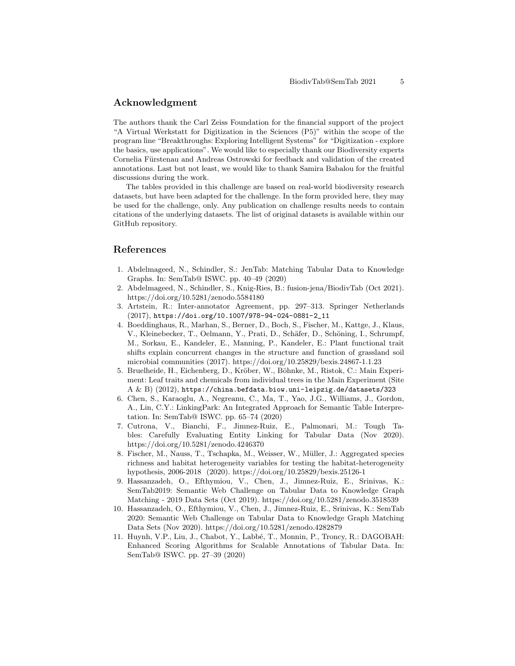## Acknowledgment

The authors thank the Carl Zeiss Foundation for the financial support of the project "A Virtual Werkstatt for Digitization in the Sciences (P5)" within the scope of the program line "Breakthroughs: Exploring Intelligent Systems" for "Digitization - explore the basics, use applications". We would like to especially thank our Biodiversity experts Cornelia Fürstenau and Andreas Ostrowski for feedback and validation of the created annotations. Last but not least, we would like to thank Samira Babalou for the fruitful discussions during the work.

The tables provided in this challenge are based on real-world biodiversity research datasets, but have been adapted for the challenge. In the form provided here, they may be used for the challenge, only. Any publication on challenge results needs to contain citations of the underlying datasets. The list of original datasets is available within our GitHub repository.

# References

- <span id="page-4-0"></span>1. Abdelmageed, N., Schindler, S.: JenTab: Matching Tabular Data to Knowledge Graphs. In: SemTab@ ISWC. pp. 40–49 (2020)
- <span id="page-4-10"></span>2. Abdelmageed, N., Schindler, S., Knig-Ries, B.: fusion-jena/BiodivTab (Oct 2021). <https://doi.org/10.5281/zenodo.5584180>
- <span id="page-4-9"></span>3. Artstein, R.: Inter-annotator Agreement, pp. 297–313. Springer Netherlands (2017), [https://doi.org/10.1007/978-94-024-0881-2\\_11](https://doi.org/10.1007/978-94-024-0881-2_11)
- <span id="page-4-7"></span>4. Boeddinghaus, R., Marhan, S., Berner, D., Boch, S., Fischer, M., Kattge, J., Klaus, V., Kleinebecker, T., Oelmann, Y., Prati, D., Schäfer, D., Schöning, I., Schrumpf, M., Sorkau, E., Kandeler, E., Manning, P., Kandeler, E.: Plant functional trait shifts explain concurrent changes in the structure and function of grassland soil microbial communities (2017).<https://doi.org/10.25829/bexis.24867-1.1.23>
- <span id="page-4-6"></span>5. Bruelheide, H., Eichenberg, D., Kröber, W., Böhnke, M., Ristok, C.: Main Experiment: Leaf traits and chemicals from individual trees in the Main Experiment (Site  $A \& B)$  (2012), <https://china.befdata.biow.uni-leipzig.de/datasets/323>
- <span id="page-4-1"></span>6. Chen, S., Karaoglu, A., Negreanu, C., Ma, T., Yao, J.G., Williams, J., Gordon, A., Lin, C.Y.: LinkingPark: An Integrated Approach for Semantic Table Interpretation. In: SemTab@ ISWC. pp. 65–74 (2020)
- <span id="page-4-5"></span>7. Cutrona, V., Bianchi, F., Jimnez-Ruiz, E., Palmonari, M.: Tough Tables: Carefully Evaluating Entity Linking for Tabular Data (Nov 2020). <https://doi.org/10.5281/zenodo.4246370>
- <span id="page-4-8"></span>8. Fischer, M., Nauss, T., Tschapka, M., Weisser, W., Müller, J.: Aggregated species richness and habitat heterogeneity variables for testing the habitat-heterogeneity hypothesis, 2006-2018 (2020).<https://doi.org/10.25829/bexis.25126-1>
- <span id="page-4-3"></span>9. Hassanzadeh, O., Efthymiou, V., Chen, J., Jimnez-Ruiz, E., Srinivas, K.: SemTab2019: Semantic Web Challenge on Tabular Data to Knowledge Graph Matching - 2019 Data Sets (Oct 2019).<https://doi.org/10.5281/zenodo.3518539>
- <span id="page-4-4"></span>10. Hassanzadeh, O., Efthymiou, V., Chen, J., Jimnez-Ruiz, E., Srinivas, K.: SemTab 2020: Semantic Web Challenge on Tabular Data to Knowledge Graph Matching Data Sets (Nov 2020).<https://doi.org/10.5281/zenodo.4282879>
- <span id="page-4-2"></span>11. Huynh, V.P., Liu, J., Chabot, Y., Labbé, T., Monnin, P., Troncy, R.: DAGOBAH: Enhanced Scoring Algorithms for Scalable Annotations of Tabular Data. In: SemTab@ ISWC. pp. 27–39 (2020)